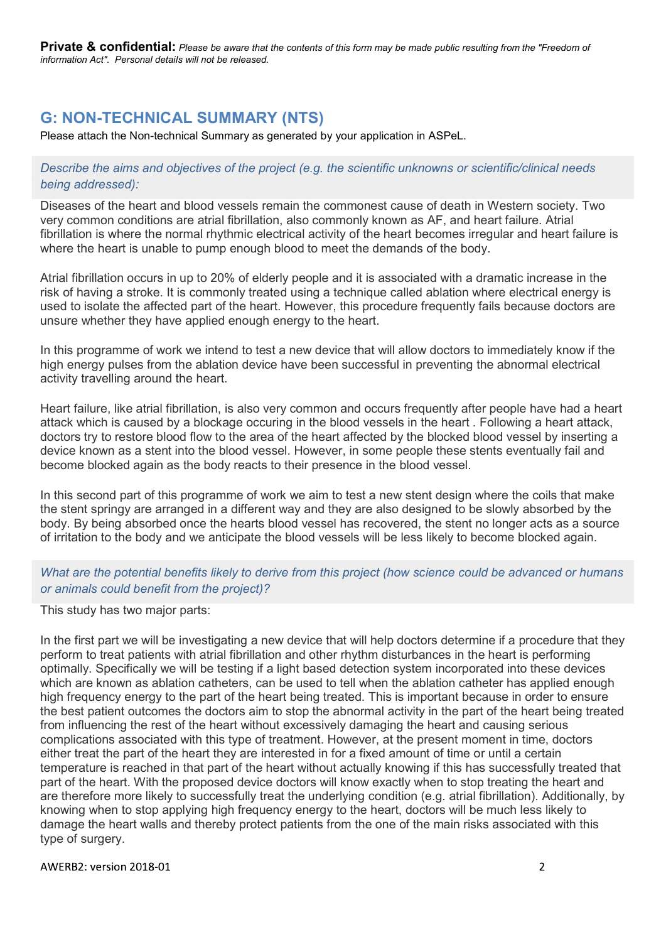# G: NON-TECHNICAL SUMMARY (NTS)

Please attach the Non-technical Summary as generated by your application in ASPeL.

# Describe the aims and objectives of the project (e.g. the scientific unknowns or scientific/clinical needs being addressed):

Diseases of the heart and blood vessels remain the commonest cause of death in Western society. Two very common conditions are atrial fibrillation, also commonly known as AF, and heart failure. Atrial fibrillation is where the normal rhythmic electrical activity of the heart becomes irregular and heart failure is where the heart is unable to pump enough blood to meet the demands of the body.

Atrial fibrillation occurs in up to 20% of elderly people and it is associated with a dramatic increase in the risk of having a stroke. It is commonly treated using a technique called ablation where electrical energy is used to isolate the affected part of the heart. However, this procedure frequently fails because doctors are unsure whether they have applied enough energy to the heart.

In this programme of work we intend to test a new device that will allow doctors to immediately know if the high energy pulses from the ablation device have been successful in preventing the abnormal electrical activity travelling around the heart.

Heart failure, like atrial fibrillation, is also very common and occurs frequently after people have had a heart attack which is caused by a blockage occuring in the blood vessels in the heart . Following a heart attack, doctors try to restore blood flow to the area of the heart affected by the blocked blood vessel by inserting a device known as a stent into the blood vessel. However, in some people these stents eventually fail and become blocked again as the body reacts to their presence in the blood vessel.

In this second part of this programme of work we aim to test a new stent design where the coils that make the stent springy are arranged in a different way and they are also designed to be slowly absorbed by the body. By being absorbed once the hearts blood vessel has recovered, the stent no longer acts as a source of irritation to the body and we anticipate the blood vessels will be less likely to become blocked again.

# What are the potential benefits likely to derive from this project (how science could be advanced or humans or animals could benefit from the project)?

This study has two major parts:

In the first part we will be investigating a new device that will help doctors determine if a procedure that they perform to treat patients with atrial fibrillation and other rhythm disturbances in the heart is performing optimally. Specifically we will be testing if a light based detection system incorporated into these devices which are known as ablation catheters, can be used to tell when the ablation catheter has applied enough high frequency energy to the part of the heart being treated. This is important because in order to ensure the best patient outcomes the doctors aim to stop the abnormal activity in the part of the heart being treated from influencing the rest of the heart without excessively damaging the heart and causing serious complications associated with this type of treatment. However, at the present moment in time, doctors either treat the part of the heart they are interested in for a fixed amount of time or until a certain temperature is reached in that part of the heart without actually knowing if this has successfully treated that part of the heart. With the proposed device doctors will know exactly when to stop treating the heart and are therefore more likely to successfully treat the underlying condition (e.g. atrial fibrillation). Additionally, by knowing when to stop applying high frequency energy to the heart, doctors will be much less likely to damage the heart walls and thereby protect patients from the one of the main risks associated with this type of surgery.

#### AWERB2: version 2018-01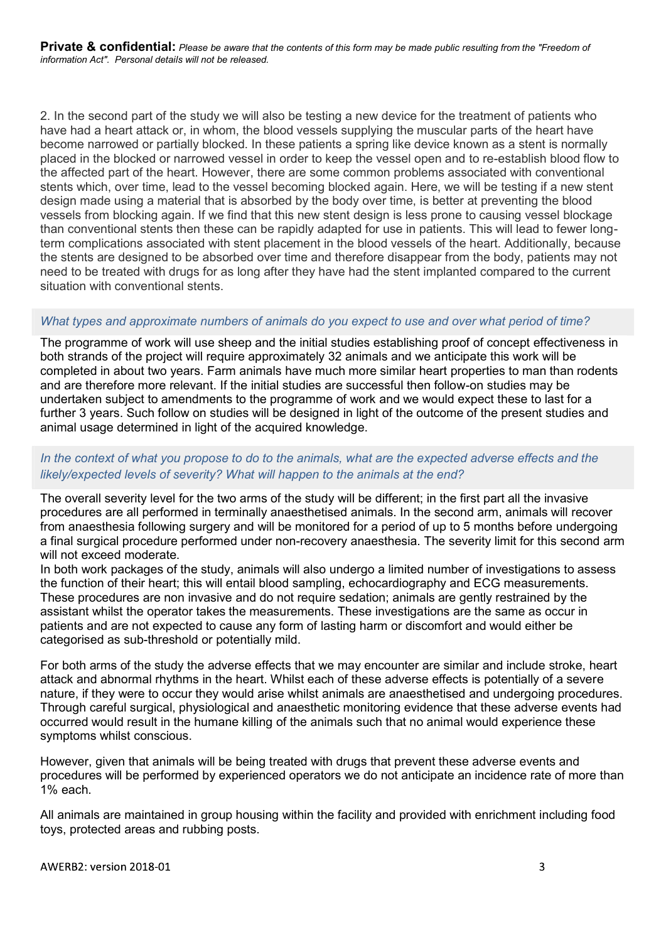2. In the second part of the study we will also be testing a new device for the treatment of patients who have had a heart attack or, in whom, the blood vessels supplying the muscular parts of the heart have become narrowed or partially blocked. In these patients a spring like device known as a stent is normally placed in the blocked or narrowed vessel in order to keep the vessel open and to re-establish blood flow to the affected part of the heart. However, there are some common problems associated with conventional stents which, over time, lead to the vessel becoming blocked again. Here, we will be testing if a new stent design made using a material that is absorbed by the body over time, is better at preventing the blood vessels from blocking again. If we find that this new stent design is less prone to causing vessel blockage than conventional stents then these can be rapidly adapted for use in patients. This will lead to fewer longterm complications associated with stent placement in the blood vessels of the heart. Additionally, because the stents are designed to be absorbed over time and therefore disappear from the body, patients may not need to be treated with drugs for as long after they have had the stent implanted compared to the current situation with conventional stents.

## What types and approximate numbers of animals do you expect to use and over what period of time?

The programme of work will use sheep and the initial studies establishing proof of concept effectiveness in both strands of the project will require approximately 32 animals and we anticipate this work will be completed in about two years. Farm animals have much more similar heart properties to man than rodents and are therefore more relevant. If the initial studies are successful then follow-on studies may be undertaken subject to amendments to the programme of work and we would expect these to last for a further 3 years. Such follow on studies will be designed in light of the outcome of the present studies and animal usage determined in light of the acquired knowledge.

# In the context of what you propose to do to the animals, what are the expected adverse effects and the likely/expected levels of severity? What will happen to the animals at the end?

The overall severity level for the two arms of the study will be different; in the first part all the invasive procedures are all performed in terminally anaesthetised animals. In the second arm, animals will recover from anaesthesia following surgery and will be monitored for a period of up to 5 months before undergoing a final surgical procedure performed under non-recovery anaesthesia. The severity limit for this second arm will not exceed moderate.

In both work packages of the study, animals will also undergo a limited number of investigations to assess the function of their heart; this will entail blood sampling, echocardiography and ECG measurements. These procedures are non invasive and do not require sedation; animals are gently restrained by the assistant whilst the operator takes the measurements. These investigations are the same as occur in patients and are not expected to cause any form of lasting harm or discomfort and would either be categorised as sub-threshold or potentially mild.

For both arms of the study the adverse effects that we may encounter are similar and include stroke, heart attack and abnormal rhythms in the heart. Whilst each of these adverse effects is potentially of a severe nature, if they were to occur they would arise whilst animals are anaesthetised and undergoing procedures. Through careful surgical, physiological and anaesthetic monitoring evidence that these adverse events had occurred would result in the humane killing of the animals such that no animal would experience these symptoms whilst conscious.

However, given that animals will be being treated with drugs that prevent these adverse events and procedures will be performed by experienced operators we do not anticipate an incidence rate of more than 1% each.

All animals are maintained in group housing within the facility and provided with enrichment including food toys, protected areas and rubbing posts.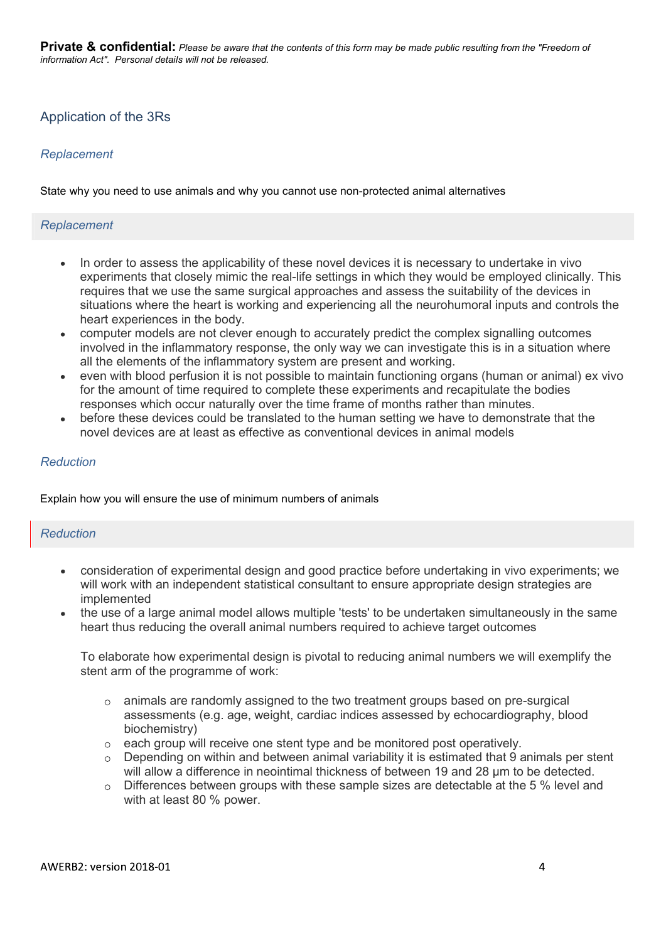# Application of the 3Rs

## Replacement

State why you need to use animals and why you cannot use non-protected animal alternatives

#### Replacement

- In order to assess the applicability of these novel devices it is necessary to undertake in vivo experiments that closely mimic the real-life settings in which they would be employed clinically. This requires that we use the same surgical approaches and assess the suitability of the devices in situations where the heart is working and experiencing all the neurohumoral inputs and controls the heart experiences in the body.
- computer models are not clever enough to accurately predict the complex signalling outcomes involved in the inflammatory response, the only way we can investigate this is in a situation where all the elements of the inflammatory system are present and working.
- even with blood perfusion it is not possible to maintain functioning organs (human or animal) ex vivo for the amount of time required to complete these experiments and recapitulate the bodies responses which occur naturally over the time frame of months rather than minutes.
- before these devices could be translated to the human setting we have to demonstrate that the novel devices are at least as effective as conventional devices in animal models

#### Reduction

Explain how you will ensure the use of minimum numbers of animals

#### **Reduction**

- consideration of experimental design and good practice before undertaking in vivo experiments; we will work with an independent statistical consultant to ensure appropriate design strategies are implemented
- the use of a large animal model allows multiple 'tests' to be undertaken simultaneously in the same heart thus reducing the overall animal numbers required to achieve target outcomes

To elaborate how experimental design is pivotal to reducing animal numbers we will exemplify the stent arm of the programme of work:

- $\circ$  animals are randomly assigned to the two treatment groups based on pre-surgical assessments (e.g. age, weight, cardiac indices assessed by echocardiography, blood biochemistry)
- $\circ$  each group will receive one stent type and be monitored post operatively.
- Depending on within and between animal variability it is estimated that 9 animals per stent will allow a difference in neointimal thickness of between 19 and 28  $\mu$ m to be detected.
- $\circ$  Differences between groups with these sample sizes are detectable at the 5 % level and with at least 80 % power.